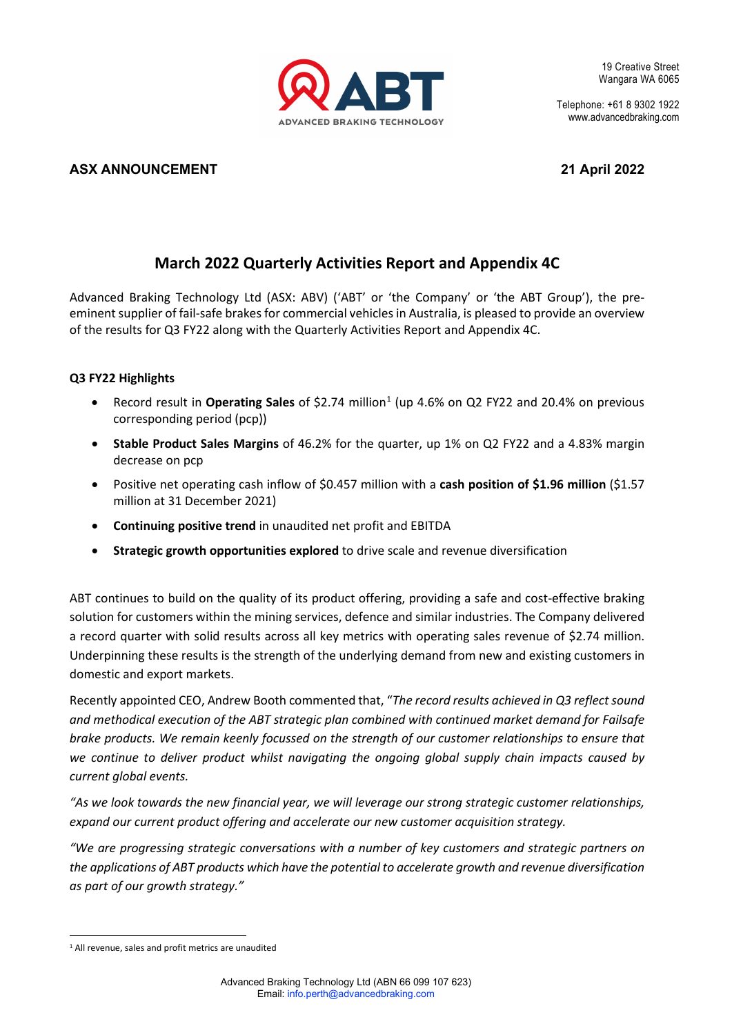

Telephone: +61 8 9302 1922 www.advancedbraking.com

# **ASX ANNOUNCEMENT 21 April 2022**

# **March 2022 Quarterly Activities Report and Appendix 4C**

Advanced Braking Technology Ltd (ASX: ABV) ('ABT' or 'the Company' or 'the ABT Group'), the preeminent supplier of fail-safe brakes for commercial vehicles in Australia, is pleased to provide an overview of the results for Q3 FY22 along with the Quarterly Activities Report and Appendix 4C.

# **Q3 FY22 Highlights**

- Record result in Operating Sales of \$2.74 million<sup>[1](#page-0-0)</sup> (up 4.6% on Q2 FY22 and 20.4% on previous corresponding period (pcp))
- **Stable Product Sales Margins** of 46.2% for the quarter, up 1% on Q2 FY22 and a 4.83% margin decrease on pcp
- Positive net operating cash inflow of \$0.457 million with a **cash position of \$1.96 million** (\$1.57 million at 31 December 2021)
- **Continuing positive trend** in unaudited net profit and EBITDA
- **Strategic growth opportunities explored** to drive scale and revenue diversification

ABT continues to build on the quality of its product offering, providing a safe and cost-effective braking solution for customers within the mining services, defence and similar industries. The Company delivered a record quarter with solid results across all key metrics with operating sales revenue of \$2.74 million. Underpinning these results is the strength of the underlying demand from new and existing customers in domestic and export markets.

Recently appointed CEO, Andrew Booth commented that, "The record results achieved in Q3 reflect sound *and methodical execution of the ABT strategic plan combined with continued market demand for Failsafe brake products. We remain keenly focussed on the strength of our customer relationships to ensure that we continue to deliver product whilst navigating the ongoing global supply chain impacts caused by current global events.* 

*"As we look towards the new financial year, we will leverage our strong strategic customer relationships, expand our current product offering and accelerate our new customer acquisition strategy.* 

*"We are progressing strategic conversations with a number of key customers and strategic partners on the applications of ABT products which have the potential to accelerate growth and revenue diversification as part of our growth strategy."*

<span id="page-0-0"></span><sup>1</sup> All revenue, sales and profit metrics are unaudited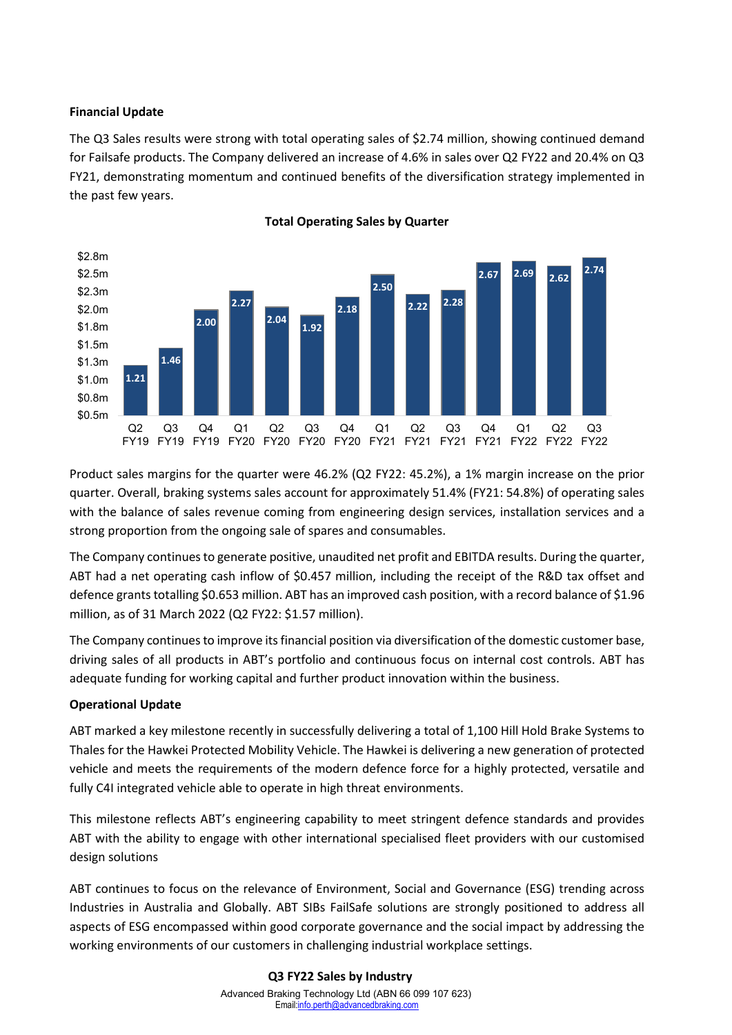## **Financial Update**

The Q3 Sales results were strong with total operating sales of \$2.74 million, showing continued demand for Failsafe products. The Company delivered an increase of 4.6% in sales over Q2 FY22 and 20.4% on Q3 FY21, demonstrating momentum and continued benefits of the diversification strategy implemented in the past few years.



#### **Total Operating Sales by Quarter**

Product sales margins for the quarter were 46.2% (Q2 FY22: 45.2%), a 1% margin increase on the prior quarter. Overall, braking systems sales account for approximately 51.4% (FY21: 54.8%) of operating sales with the balance of sales revenue coming from engineering design services, installation services and a strong proportion from the ongoing sale of spares and consumables.

The Company continues to generate positive, unaudited net profit and EBITDA results. During the quarter, ABT had a net operating cash inflow of \$0.457 million, including the receipt of the R&D tax offset and defence grants totalling \$0.653 million. ABT has an improved cash position, with a record balance of \$1.96 million, as of 31 March 2022 (Q2 FY22: \$1.57 million).

The Company continuesto improve its financial position via diversification of the domestic customer base, driving sales of all products in ABT's portfolio and continuous focus on internal cost controls. ABT has adequate funding for working capital and further product innovation within the business.

# **Operational Update**

ABT marked a key milestone recently in successfully delivering a total of 1,100 Hill Hold Brake Systems to Thales for the Hawkei Protected Mobility Vehicle. The Hawkei is delivering a new generation of protected vehicle and meets the requirements of the modern defence force for a highly protected, versatile and fully C4I integrated vehicle able to operate in high threat environments.

This milestone reflects ABT's engineering capability to meet stringent defence standards and provides ABT with the ability to engage with other international specialised fleet providers with our customised design solutions

ABT continues to focus on the relevance of Environment, Social and Governance (ESG) trending across Industries in Australia and Globally. ABT SIBs FailSafe solutions are strongly positioned to address all aspects of ESG encompassed within good corporate governance and the social impact by addressing the working environments of our customers in challenging industrial workplace settings.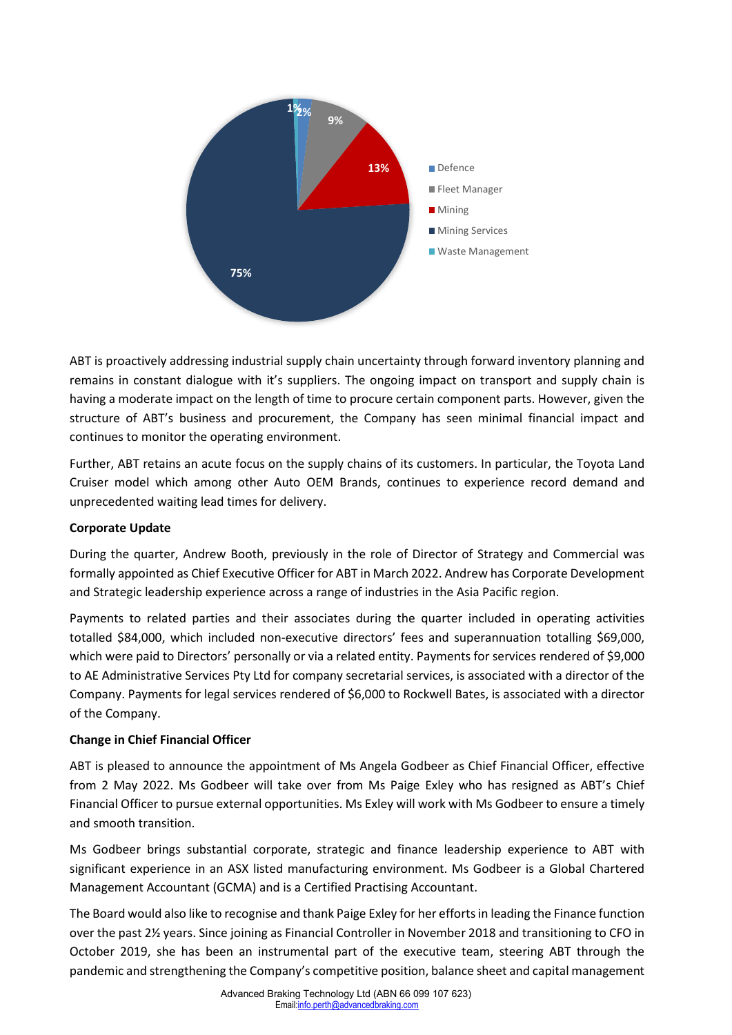

ABT is proactively addressing industrial supply chain uncertainty through forward inventory planning and remains in constant dialogue with it's suppliers. The ongoing impact on transport and supply chain is having a moderate impact on the length of time to procure certain component parts. However, given the structure of ABT's business and procurement, the Company has seen minimal financial impact and continues to monitor the operating environment.

Further, ABT retains an acute focus on the supply chains of its customers. In particular, the Toyota Land Cruiser model which among other Auto OEM Brands, continues to experience record demand and unprecedented waiting lead times for delivery.

# **Corporate Update**

During the quarter, Andrew Booth, previously in the role of Director of Strategy and Commercial was formally appointed as Chief Executive Officer for ABT in March 2022. Andrew has Corporate Development and Strategic leadership experience across a range of industries in the Asia Pacific region.

Payments to related parties and their associates during the quarter included in operating activities totalled \$84,000, which included non-executive directors' fees and superannuation totalling \$69,000, which were paid to Directors' personally or via a related entity. Payments for services rendered of \$9,000 to AE Administrative Services Pty Ltd for company secretarial services, is associated with a director of the Company. Payments for legal services rendered of \$6,000 to Rockwell Bates, is associated with a director of the Company.

# **Change in Chief Financial Officer**

ABT is pleased to announce the appointment of Ms Angela Godbeer as Chief Financial Officer, effective from 2 May 2022. Ms Godbeer will take over from Ms Paige Exley who has resigned as ABT's Chief Financial Officer to pursue external opportunities. Ms Exley will work with Ms Godbeer to ensure a timely and smooth transition.

Ms Godbeer brings substantial corporate, strategic and finance leadership experience to ABT with significant experience in an ASX listed manufacturing environment. Ms Godbeer is a Global Chartered Management Accountant (GCMA) and is a Certified Practising Accountant.

The Board would also like to recognise and thank Paige Exley for her efforts in leading the Finance function over the past 2½ years. Since joining as Financial Controller in November 2018 and transitioning to CFO in October 2019, she has been an instrumental part of the executive team, steering ABT through the pandemic and strengthening the Company's competitive position, balance sheet and capital management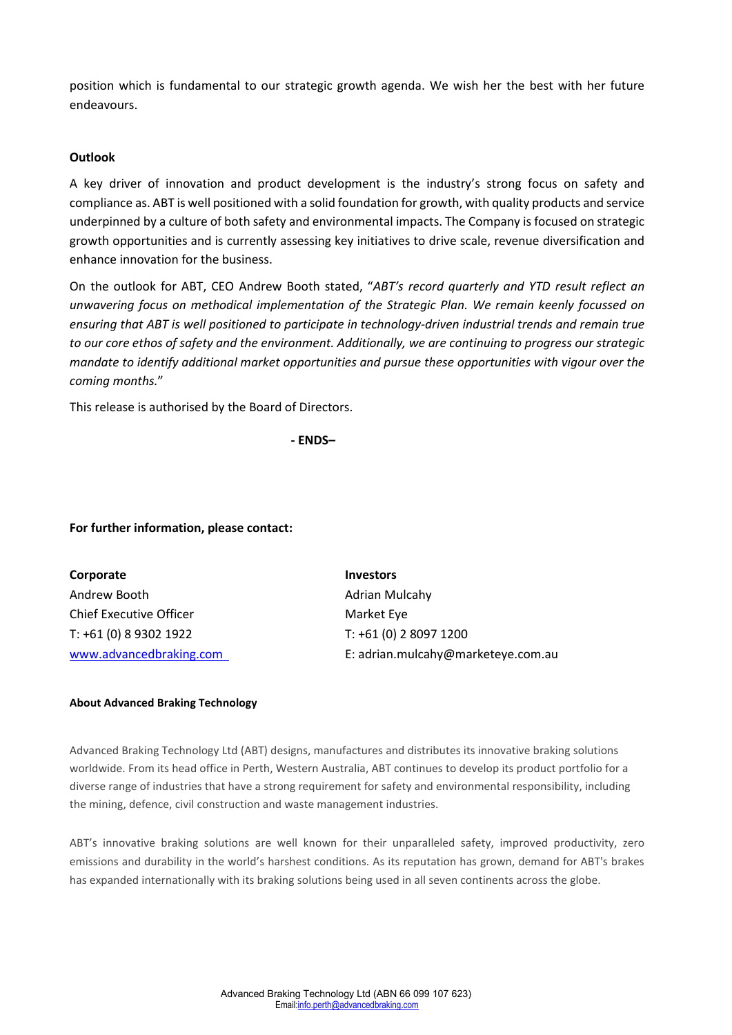position which is fundamental to our strategic growth agenda. We wish her the best with her future endeavours.

### **Outlook**

A key driver of innovation and product development is the industry's strong focus on safety and compliance as. ABT is well positioned with a solid foundation for growth, with quality products and service underpinned by a culture of both safety and environmental impacts. The Company is focused on strategic growth opportunities and is currently assessing key initiatives to drive scale, revenue diversification and enhance innovation for the business.

On the outlook for ABT, CEO Andrew Booth stated, "*ABT's record quarterly and YTD result reflect an unwavering focus on methodical implementation of the Strategic Plan. We remain keenly focussed on ensuring that ABT is well positioned to participate in technology-driven industrial trends and remain true to our core ethos of safety and the environment. Additionally, we are continuing to progress our strategic mandate to identify additional market opportunities and pursue these opportunities with vigour over the coming months.*"

This release is authorised by the Board of Directors.

**- ENDS–**

#### **For further information, please contact:**

| Corporate                      | <b>Investors</b>                   |
|--------------------------------|------------------------------------|
| Andrew Booth                   | Adrian Mulcahy                     |
| <b>Chief Executive Officer</b> | Market Eye                         |
| T: +61 (0) 8 9302 1922         | T: +61 (0) 2 8097 1200             |
| www.advancedbraking.com        | E: adrian.mulcahy@marketeye.com.au |

#### **About Advanced Braking Technology**

Advanced Braking Technology Ltd (ABT) designs, manufactures and distributes its innovative braking solutions worldwide. From its head office in Perth, Western Australia, ABT continues to develop its product portfolio for a diverse range of industries that have a strong requirement for safety and environmental responsibility, including the mining, defence, civil construction and waste management industries.

ABT's innovative braking solutions are well known for their unparalleled safety, improved productivity, zero emissions and durability in the world's harshest conditions. As its reputation has grown, demand for ABT's brakes has expanded internationally with its braking solutions being used in all seven continents across the globe.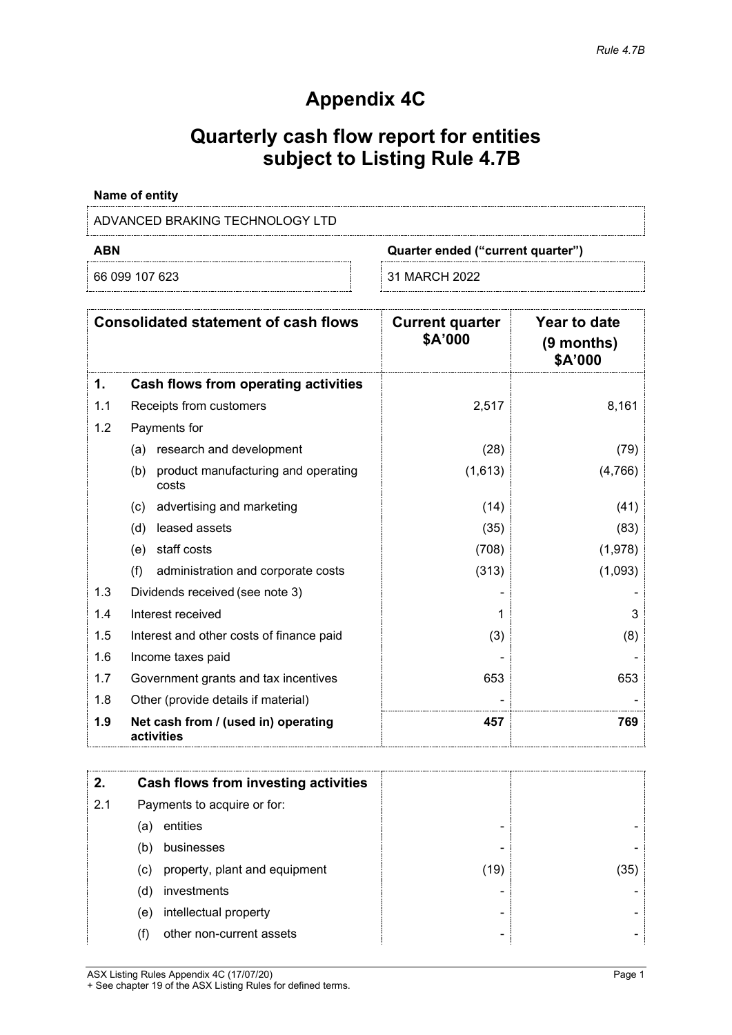# **Appendix 4C**

# **Quarterly cash flow report for entities subject to Listing Rule 4.7B**

# **Name of entity**

# ADVANCED BRAKING TECHNOLOGY LTD

66 099 107 623 31 MARCH 2022

**ABN Quarter ended ("current quarter")**

|     | <b>Consolidated statement of cash flows</b>         | <b>Current quarter</b><br>\$A'000 | Year to date<br>$(9$ months)<br>\$A'000 |
|-----|-----------------------------------------------------|-----------------------------------|-----------------------------------------|
| 1.  | Cash flows from operating activities                |                                   |                                         |
| 1.1 | Receipts from customers                             | 2,517                             | 8,161                                   |
| 1.2 | Payments for                                        |                                   |                                         |
|     | research and development<br>(a)                     | (28)                              | (79)                                    |
|     | product manufacturing and operating<br>(b)<br>costs | (1,613)                           | (4,766)                                 |
|     | advertising and marketing<br>(c)                    | (14)                              | (41)                                    |
|     | leased assets<br>(d)                                | (35)                              | (83)                                    |
|     | staff costs<br>(e)                                  | (708)                             | (1,978)                                 |
|     | (f)<br>administration and corporate costs           | (313)                             | (1,093)                                 |
| 1.3 | Dividends received (see note 3)                     |                                   |                                         |
| 1.4 | Interest received                                   |                                   | 3                                       |
| 1.5 | Interest and other costs of finance paid            | (3)                               | (8)                                     |
| 1.6 | Income taxes paid                                   |                                   |                                         |
| 1.7 | Government grants and tax incentives                | 653                               | 653                                     |
| 1.8 | Other (provide details if material)                 |                                   |                                         |
| 1.9 | Net cash from / (used in) operating<br>activities   | 457                               | 769                                     |

| 2.  |     | Cash flows from investing activities |      |    |
|-----|-----|--------------------------------------|------|----|
| 2.1 |     | Payments to acquire or for:          |      |    |
|     | (a) | entities                             |      |    |
|     | (b) | businesses                           |      |    |
|     | (c) | property, plant and equipment        | (19) | 35 |
|     | (d) | investments                          |      |    |
|     | (e) | intellectual property                |      |    |
|     |     | other non-current assets             |      |    |

ASX Listing Rules Appendix 4C (17/07/20) Page 1 + See chapter 19 of the ASX Listing Rules for defined terms.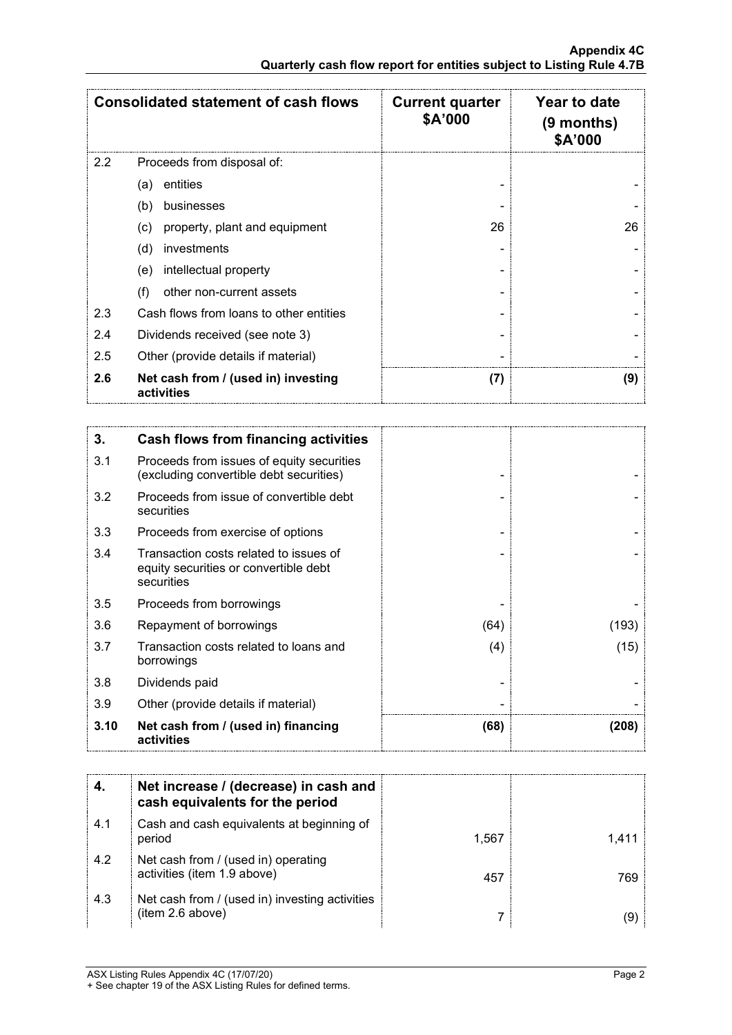|     | <b>Consolidated statement of cash flows</b>       | <b>Current quarter</b><br>\$A'000 | Year to date<br>$(9$ months)<br><b>\$A'000</b> |
|-----|---------------------------------------------------|-----------------------------------|------------------------------------------------|
| 2.2 | Proceeds from disposal of:                        |                                   |                                                |
|     | entities<br>(a)                                   |                                   |                                                |
|     | (b)<br>businesses                                 |                                   |                                                |
|     | property, plant and equipment<br>(c)              | 26                                | 26                                             |
|     | (d)<br>investments                                |                                   |                                                |
|     | intellectual property<br>(e)                      |                                   |                                                |
|     | (f)<br>other non-current assets                   |                                   |                                                |
| 2.3 | Cash flows from loans to other entities           |                                   |                                                |
| 2.4 | Dividends received (see note 3)                   |                                   |                                                |
| 2.5 | Other (provide details if material)               |                                   |                                                |
| 2.6 | Net cash from / (used in) investing<br>activities | (7)                               | (9)                                            |

| 3.   | Cash flows from financing activities                                                          |      |       |
|------|-----------------------------------------------------------------------------------------------|------|-------|
| 3.1  | Proceeds from issues of equity securities<br>(excluding convertible debt securities)          |      |       |
| 3.2  | Proceeds from issue of convertible debt<br>securities                                         |      |       |
| 3.3  | Proceeds from exercise of options                                                             |      |       |
| 3.4  | Transaction costs related to issues of<br>equity securities or convertible debt<br>securities |      |       |
| 3.5  | Proceeds from borrowings                                                                      |      |       |
| 3.6  | Repayment of borrowings                                                                       | (64) | (193) |
| 3.7  | Transaction costs related to loans and<br>borrowings                                          | (4)  | (15)  |
| 3.8  | Dividends paid                                                                                |      |       |
| 3.9  | Other (provide details if material)                                                           |      |       |
| 3.10 | Net cash from / (used in) financing<br>activities                                             | (68) | (208) |

|     | Net increase / (decrease) in cash and<br>cash equivalents for the period |       |  |
|-----|--------------------------------------------------------------------------|-------|--|
| 4.1 | Cash and cash equivalents at beginning of<br>period                      | 1.567 |  |
| 4.2 | Net cash from / (used in) operating<br>activities (item 1.9 above)       | 457   |  |
| 4.3 | Net cash from / (used in) investing activities<br>(item 2.6 above)       |       |  |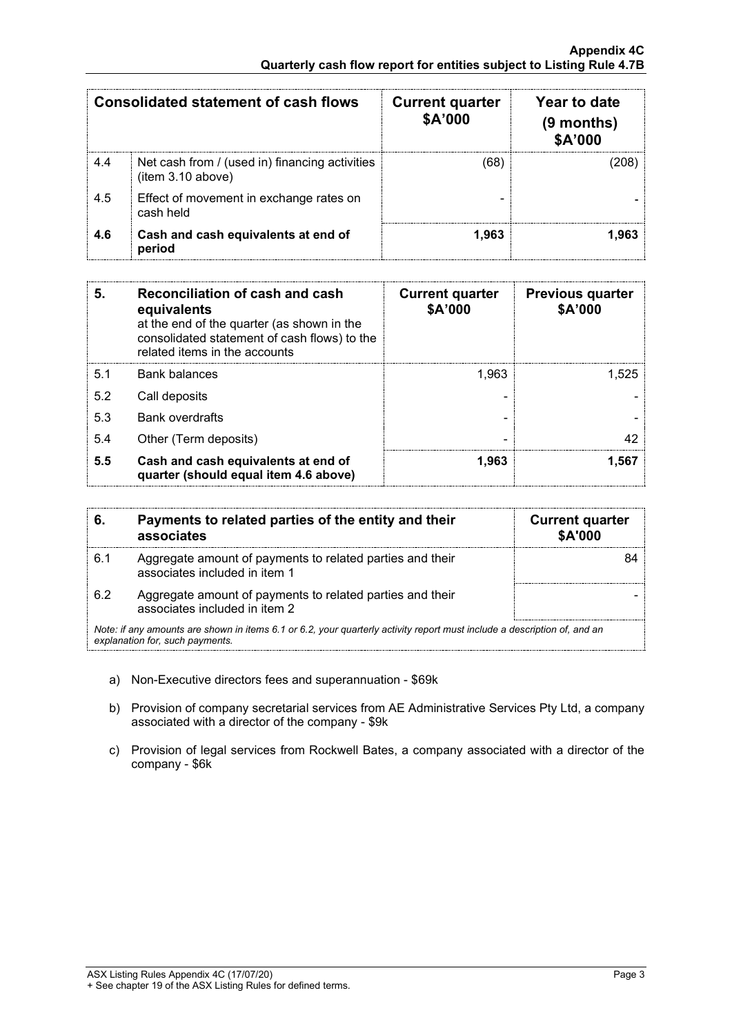|     | Consolidated statement of cash flows                                | <b>Current quarter</b><br>\$A'000 | Year to date<br>$(9$ months)<br>\$A'000 |
|-----|---------------------------------------------------------------------|-----------------------------------|-----------------------------------------|
| 4.4 | Net cash from / (used in) financing activities<br>(item 3.10 above) | 68)                               |                                         |
| 4.5 | Effect of movement in exchange rates on<br>cash held                |                                   |                                         |
| 4.6 | Cash and cash equivalents at end of<br>period                       | 1.963                             |                                         |

| 5.  | Reconciliation of cash and cash<br>equivalents<br>at the end of the quarter (as shown in the<br>consolidated statement of cash flows) to the<br>related items in the accounts | <b>Current quarter</b><br>\$A'000 | <b>Previous quarter</b><br>\$A'000 |
|-----|-------------------------------------------------------------------------------------------------------------------------------------------------------------------------------|-----------------------------------|------------------------------------|
| 5.1 | Bank balances                                                                                                                                                                 | 1.963                             | 1.525                              |
| 5.2 | Call deposits                                                                                                                                                                 |                                   |                                    |
| 5.3 | <b>Bank overdrafts</b>                                                                                                                                                        |                                   |                                    |
| 5.4 | Other (Term deposits)                                                                                                                                                         |                                   |                                    |
| 5.5 | Cash and cash equivalents at end of<br>quarter (should equal item 4.6 above)                                                                                                  | 1.963                             | 1.567                              |

| 6.                                                                                                                                                          | Payments to related parties of the entity and their<br>associates                          | <b>Current quarter</b><br><b>\$A'000</b> |
|-------------------------------------------------------------------------------------------------------------------------------------------------------------|--------------------------------------------------------------------------------------------|------------------------------------------|
| 6.1                                                                                                                                                         | Aggregate amount of payments to related parties and their<br>associates included in item 1 |                                          |
| 6.2                                                                                                                                                         | Aggregate amount of payments to related parties and their<br>associates included in item 2 |                                          |
| Note: if any amounts are shown in items 6.1 or 6.2, your quarterly activity report must include a description of, and an<br>explanation for, such payments. |                                                                                            |                                          |

- a) Non-Executive directors fees and superannuation \$69k
- b) Provision of company secretarial services from AE Administrative Services Pty Ltd, a company associated with a director of the company - \$9k
- c) Provision of legal services from Rockwell Bates, a company associated with a director of the company - \$6k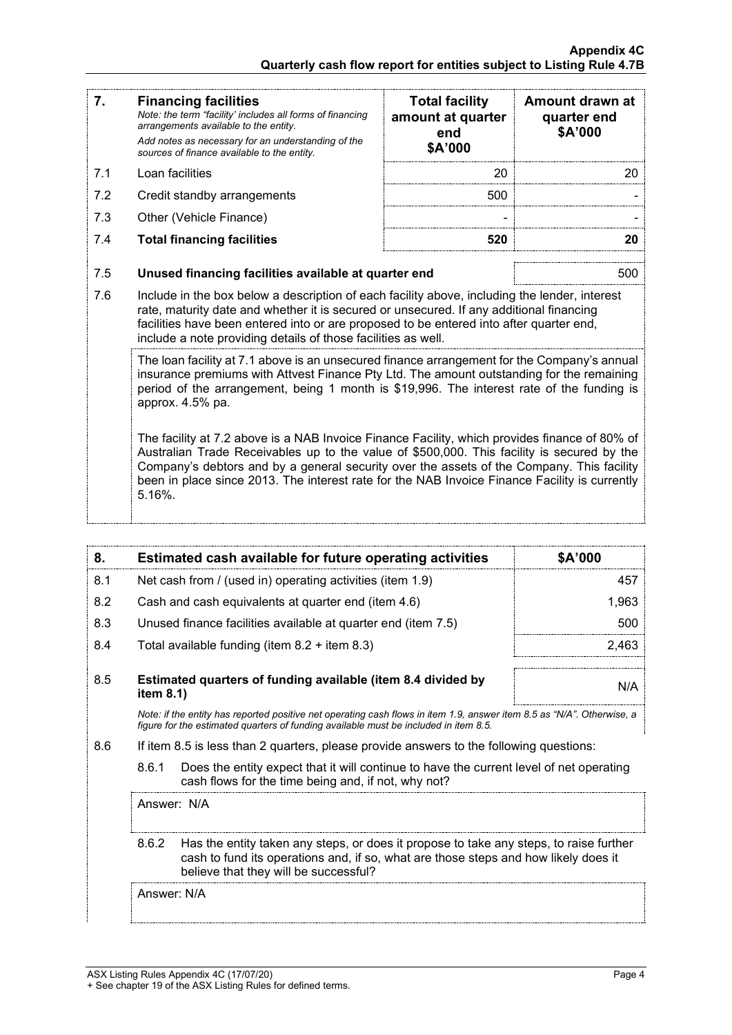| 7.  | <b>Financing facilities</b><br>Note: the term "facility' includes all forms of financing<br>arrangements available to the entity.<br>Add notes as necessary for an understanding of the<br>sources of finance available to the entity.                                                                                                                                                                                                                                                                                                                                                                                                                                                                           | <b>Total facility</b><br>amount at quarter<br>end<br>\$A'000 | Amount drawn at<br>quarter end<br>\$A'000 |
|-----|------------------------------------------------------------------------------------------------------------------------------------------------------------------------------------------------------------------------------------------------------------------------------------------------------------------------------------------------------------------------------------------------------------------------------------------------------------------------------------------------------------------------------------------------------------------------------------------------------------------------------------------------------------------------------------------------------------------|--------------------------------------------------------------|-------------------------------------------|
| 7.1 | Loan facilities                                                                                                                                                                                                                                                                                                                                                                                                                                                                                                                                                                                                                                                                                                  | 20                                                           | 20                                        |
| 7.2 | Credit standby arrangements                                                                                                                                                                                                                                                                                                                                                                                                                                                                                                                                                                                                                                                                                      | 500                                                          |                                           |
| 7.3 | Other (Vehicle Finance)                                                                                                                                                                                                                                                                                                                                                                                                                                                                                                                                                                                                                                                                                          |                                                              |                                           |
| 7.4 | <b>Total financing facilities</b>                                                                                                                                                                                                                                                                                                                                                                                                                                                                                                                                                                                                                                                                                | 520                                                          | 20                                        |
| 7.5 | Unused financing facilities available at quarter end                                                                                                                                                                                                                                                                                                                                                                                                                                                                                                                                                                                                                                                             |                                                              | 500                                       |
| 7.6 | Include in the box below a description of each facility above, including the lender, interest<br>rate, maturity date and whether it is secured or unsecured. If any additional financing<br>facilities have been entered into or are proposed to be entered into after quarter end,<br>include a note providing details of those facilities as well.                                                                                                                                                                                                                                                                                                                                                             |                                                              |                                           |
|     | The loan facility at 7.1 above is an unsecured finance arrangement for the Company's annual<br>insurance premiums with Attvest Finance Pty Ltd. The amount outstanding for the remaining<br>period of the arrangement, being 1 month is \$19,996. The interest rate of the funding is<br>approx. 4.5% pa.<br>The facility at 7.2 above is a NAB Invoice Finance Facility, which provides finance of 80% of<br>Australian Trade Receivables up to the value of \$500,000. This facility is secured by the<br>Company's debtors and by a general security over the assets of the Company. This facility<br>been in place since 2013. The interest rate for the NAB Invoice Finance Facility is currently<br>5.16%. |                                                              |                                           |

| 8.                                                                                                                     | Estimated cash available for future operating activities                     | \$A'000 |
|------------------------------------------------------------------------------------------------------------------------|------------------------------------------------------------------------------|---------|
| 8.1                                                                                                                    | Net cash from / (used in) operating activities (item 1.9)                    | 457     |
| 8.2                                                                                                                    | Cash and cash equivalents at quarter end (item 4.6)                          | 1.963   |
| 8.3                                                                                                                    | Unused finance facilities available at quarter end (item 7.5)                | 500     |
| 8.4                                                                                                                    | Total available funding (item $8.2 +$ item $8.3$ )                           | 2 463   |
| 8.5                                                                                                                    | Estimated quarters of funding available (item 8.4 divided by<br>item $8.1$ ) | N/A     |
| Note: if the entity has reported positive net operating cash flows in item 1.9, answer item 8.5 as "N/A". Otherwise, a |                                                                              |         |

8.6 If item 8.5 is less than 2 quarters, please provide answers to the following questions:

*figure for the estimated quarters of funding available must be included in item 8.5.*

8.6.1 Does the entity expect that it will continue to have the current level of net operating cash flows for the time being and, if not, why not?

Answer: N/A

8.6.2 Has the entity taken any steps, or does it propose to take any steps, to raise further cash to fund its operations and, if so, what are those steps and how likely does it believe that they will be successful?

Answer: N/A